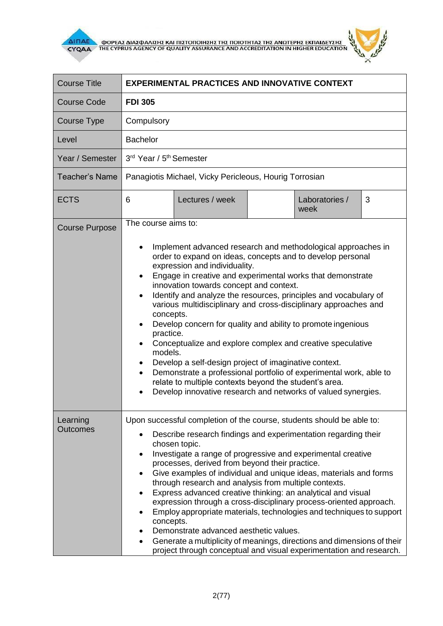



| <b>Course Title</b>         | <b>EXPERIMENTAL PRACTICES AND INNOVATIVE CONTEXT</b>                                                                                                                                                                                                                                                                                                                                                                                                                                                                                                                                                                                                                                                                                                                                                                                                                                                        |  |  |
|-----------------------------|-------------------------------------------------------------------------------------------------------------------------------------------------------------------------------------------------------------------------------------------------------------------------------------------------------------------------------------------------------------------------------------------------------------------------------------------------------------------------------------------------------------------------------------------------------------------------------------------------------------------------------------------------------------------------------------------------------------------------------------------------------------------------------------------------------------------------------------------------------------------------------------------------------------|--|--|
| <b>Course Code</b>          | <b>FDI 305</b>                                                                                                                                                                                                                                                                                                                                                                                                                                                                                                                                                                                                                                                                                                                                                                                                                                                                                              |  |  |
| Course Type                 | Compulsory                                                                                                                                                                                                                                                                                                                                                                                                                                                                                                                                                                                                                                                                                                                                                                                                                                                                                                  |  |  |
| Level                       | <b>Bachelor</b>                                                                                                                                                                                                                                                                                                                                                                                                                                                                                                                                                                                                                                                                                                                                                                                                                                                                                             |  |  |
| Year / Semester             | 3rd Year / 5 <sup>th</sup> Semester                                                                                                                                                                                                                                                                                                                                                                                                                                                                                                                                                                                                                                                                                                                                                                                                                                                                         |  |  |
| <b>Teacher's Name</b>       | Panagiotis Michael, Vicky Pericleous, Hourig Torrosian                                                                                                                                                                                                                                                                                                                                                                                                                                                                                                                                                                                                                                                                                                                                                                                                                                                      |  |  |
| <b>ECTS</b>                 | Lectures / week<br>Laboratories /<br>3<br>6<br>week                                                                                                                                                                                                                                                                                                                                                                                                                                                                                                                                                                                                                                                                                                                                                                                                                                                         |  |  |
| <b>Course Purpose</b>       | The course aims to:<br>Implement advanced research and methodological approaches in<br>order to expand on ideas, concepts and to develop personal<br>expression and individuality.<br>Engage in creative and experimental works that demonstrate<br>$\bullet$<br>innovation towards concept and context.<br>Identify and analyze the resources, principles and vocabulary of<br>various multidisciplinary and cross-disciplinary approaches and<br>concepts.<br>Develop concern for quality and ability to promote ingenious<br>practice.<br>Conceptualize and explore complex and creative speculative<br>models.<br>Develop a self-design project of imaginative context.<br>٠<br>Demonstrate a professional portfolio of experimental work, able to<br>$\bullet$<br>relate to multiple contexts beyond the student's area.<br>Develop innovative research and networks of valued synergies.<br>$\bullet$ |  |  |
| Learning<br><b>Outcomes</b> | Upon successful completion of the course, students should be able to:<br>Describe research findings and experimentation regarding their<br>$\bullet$<br>chosen topic.<br>Investigate a range of progressive and experimental creative<br>$\bullet$<br>processes, derived from beyond their practice.<br>Give examples of individual and unique ideas, materials and forms<br>٠<br>through research and analysis from multiple contexts.<br>Express advanced creative thinking: an analytical and visual<br>٠<br>expression through a cross-disciplinary process-oriented approach.<br>Employ appropriate materials, technologies and techniques to support<br>٠<br>concepts.<br>Demonstrate advanced aesthetic values.<br>٠<br>Generate a multiplicity of meanings, directions and dimensions of their<br>project through conceptual and visual experimentation and research.                               |  |  |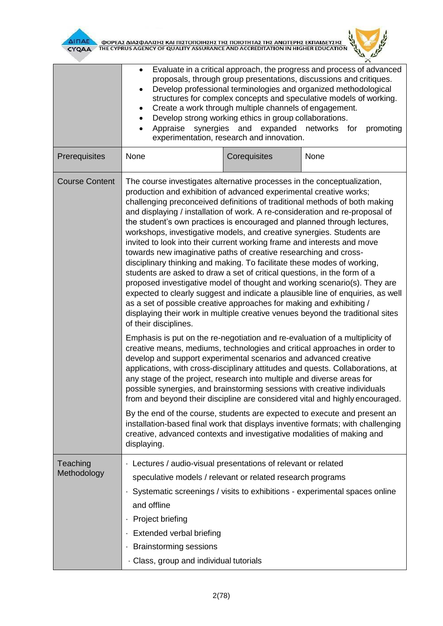

**AITIAE A OOPEAS AIAS DANISHS KAI TIISTOTOIHSHS THS TOIOTHTAS THE ANOTEPHS EKTIAIAEYSHS** 



| Evaluate in a critical approach, the progress and process of advanced<br>$\bullet$<br>proposals, through group presentations, discussions and critiques.<br>Develop professional terminologies and organized methodological<br>$\bullet$<br>structures for complex concepts and speculative models of working.<br>Create a work through multiple channels of engagement.<br>٠<br>Develop strong working ethics in group collaborations.<br>$\bullet$<br>Appraise synergies and<br>expanded networks for<br>promoting<br>$\bullet$<br>experimentation, research and innovation.                                                                                                                                                                                                                                                                                                                                                                                                                                                                                                                                                                                                                                                                                                                                                                            |              |                                                                                                                                                                                                                                                                                                                             |  |
|-----------------------------------------------------------------------------------------------------------------------------------------------------------------------------------------------------------------------------------------------------------------------------------------------------------------------------------------------------------------------------------------------------------------------------------------------------------------------------------------------------------------------------------------------------------------------------------------------------------------------------------------------------------------------------------------------------------------------------------------------------------------------------------------------------------------------------------------------------------------------------------------------------------------------------------------------------------------------------------------------------------------------------------------------------------------------------------------------------------------------------------------------------------------------------------------------------------------------------------------------------------------------------------------------------------------------------------------------------------|--------------|-----------------------------------------------------------------------------------------------------------------------------------------------------------------------------------------------------------------------------------------------------------------------------------------------------------------------------|--|
| None                                                                                                                                                                                                                                                                                                                                                                                                                                                                                                                                                                                                                                                                                                                                                                                                                                                                                                                                                                                                                                                                                                                                                                                                                                                                                                                                                      | Corequisites | None                                                                                                                                                                                                                                                                                                                        |  |
| The course investigates alternative processes in the conceptualization,<br>production and exhibition of advanced experimental creative works;<br>challenging preconceived definitions of traditional methods of both making<br>and displaying / installation of work. A re-consideration and re-proposal of<br>the student's own practices is encouraged and planned through lectures,<br>workshops, investigative models, and creative synergies. Students are<br>invited to look into their current working frame and interests and move<br>towards new imaginative paths of creative researching and cross-<br>disciplinary thinking and making. To facilitate these modes of working,<br>students are asked to draw a set of critical questions, in the form of a<br>proposed investigative model of thought and working scenario(s). They are<br>expected to clearly suggest and indicate a plausible line of enquiries, as well<br>as a set of possible creative approaches for making and exhibiting /<br>displaying their work in multiple creative venues beyond the traditional sites<br>of their disciplines.<br>Emphasis is put on the re-negotiation and re-evaluation of a multiplicity of<br>creative means, mediums, technologies and critical approaches in order to<br>develop and support experimental scenarios and advanced creative |              |                                                                                                                                                                                                                                                                                                                             |  |
| applications, with cross-disciplinary attitudes and quests. Collaborations, at<br>any stage of the project, research into multiple and diverse areas for<br>possible synergies, and brainstorming sessions with creative individuals<br>from and beyond their discipline are considered vital and highly encouraged.<br>By the end of the course, students are expected to execute and present an<br>installation-based final work that displays inventive formats; with challenging                                                                                                                                                                                                                                                                                                                                                                                                                                                                                                                                                                                                                                                                                                                                                                                                                                                                      |              |                                                                                                                                                                                                                                                                                                                             |  |
| displaying.                                                                                                                                                                                                                                                                                                                                                                                                                                                                                                                                                                                                                                                                                                                                                                                                                                                                                                                                                                                                                                                                                                                                                                                                                                                                                                                                               |              |                                                                                                                                                                                                                                                                                                                             |  |
| ٠<br>and offline<br>Project briefing<br><b>Extended verbal briefing</b><br>٠<br><b>Brainstorming sessions</b>                                                                                                                                                                                                                                                                                                                                                                                                                                                                                                                                                                                                                                                                                                                                                                                                                                                                                                                                                                                                                                                                                                                                                                                                                                             |              |                                                                                                                                                                                                                                                                                                                             |  |
|                                                                                                                                                                                                                                                                                                                                                                                                                                                                                                                                                                                                                                                                                                                                                                                                                                                                                                                                                                                                                                                                                                                                                                                                                                                                                                                                                           |              | creative, advanced contexts and investigative modalities of making and<br>Lectures / audio-visual presentations of relevant or related<br>speculative models / relevant or related research programs<br>Systematic screenings / visits to exhibitions - experimental spaces online<br>Class, group and individual tutorials |  |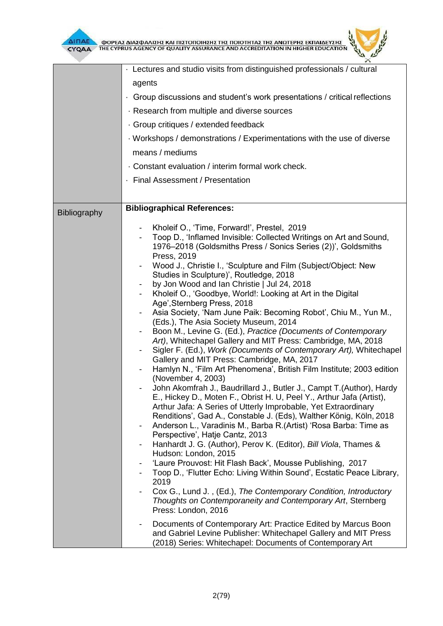

 $\mathbf{z}$ 

|              | · Lectures and studio visits from distinguished professionals / cultural                                                                      |  |  |
|--------------|-----------------------------------------------------------------------------------------------------------------------------------------------|--|--|
|              | agents                                                                                                                                        |  |  |
|              | • Group discussions and student's work presentations / critical reflections                                                                   |  |  |
|              | Research from multiple and diverse sources                                                                                                    |  |  |
|              |                                                                                                                                               |  |  |
|              | · Group critiques / extended feedback                                                                                                         |  |  |
|              | Workshops / demonstrations / Experimentations with the use of diverse                                                                         |  |  |
|              | means / mediums                                                                                                                               |  |  |
|              | · Constant evaluation / interim formal work check.                                                                                            |  |  |
|              | · Final Assessment / Presentation                                                                                                             |  |  |
|              |                                                                                                                                               |  |  |
| Bibliography | <b>Bibliographical References:</b>                                                                                                            |  |  |
|              | Kholeif O., 'Time, Forward!', Prestel, 2019                                                                                                   |  |  |
|              | Toop D., 'Inflamed Invisible: Collected Writings on Art and Sound,                                                                            |  |  |
|              | 1976–2018 (Goldsmiths Press / Sonics Series (2))', Goldsmiths                                                                                 |  |  |
|              | Press, 2019<br>Wood J., Christie I., 'Sculpture and Film (Subject/Object: New<br>$\overline{\phantom{a}}$                                     |  |  |
|              | Studies in Sculpture)', Routledge, 2018                                                                                                       |  |  |
|              | by Jon Wood and Ian Christie   Jul 24, 2018                                                                                                   |  |  |
|              | Kholeif O., 'Goodbye, World!: Looking at Art in the Digital                                                                                   |  |  |
|              | Age', Sternberg Press, 2018<br>Asia Society, 'Nam June Paik: Becoming Robot', Chiu M., Yun M.,                                                |  |  |
|              | (Eds.), The Asia Society Museum, 2014                                                                                                         |  |  |
|              | Boon M., Levine G. (Ed.), Practice (Documents of Contemporary<br>$\overline{\phantom{a}}$                                                     |  |  |
|              | Art), Whitechapel Gallery and MIT Press: Cambridge, MA, 2018                                                                                  |  |  |
|              | Sigler F. (Ed.), Work (Documents of Contemporary Art), Whitechapel<br>$\overline{\phantom{a}}$<br>Gallery and MIT Press: Cambridge, MA, 2017  |  |  |
|              | Hamlyn N., 'Film Art Phenomena', British Film Institute; 2003 edition                                                                         |  |  |
|              | (November 4, 2003)                                                                                                                            |  |  |
|              | John Akomfrah J., Baudrillard J., Butler J., Campt T. (Author), Hardy<br>E., Hickey D., Moten F., Obrist H. U, Peel Y., Arthur Jafa (Artist), |  |  |
|              | Arthur Jafa: A Series of Utterly Improbable, Yet Extraordinary                                                                                |  |  |
|              | Renditions', Gad A., Constable J. (Eds), Walther König, Köln, 2018                                                                            |  |  |
|              | Anderson L., Varadinis M., Barba R. (Artist) 'Rosa Barba: Time as<br>$\overline{\phantom{a}}$                                                 |  |  |
|              | Perspective', Hatje Cantz, 2013<br>Hanhardt J. G. (Author), Perov K. (Editor), Bill Viola, Thames &<br>$\overline{\phantom{a}}$               |  |  |
|              | Hudson: London, 2015                                                                                                                          |  |  |
|              | 'Laure Prouvost: Hit Flash Back', Mousse Publishing, 2017                                                                                     |  |  |
|              | Toop D., 'Flutter Echo: Living Within Sound', Ecstatic Peace Library,                                                                         |  |  |
|              | 2019<br>Cox G., Lund J., (Ed.), The Contemporary Condition, Introductory                                                                      |  |  |
|              | Thoughts on Contemporaneity and Contemporary Art, Sternberg                                                                                   |  |  |
|              | Press: London, 2016                                                                                                                           |  |  |
|              | Documents of Contemporary Art: Practice Edited by Marcus Boon<br>$\overline{\phantom{a}}$                                                     |  |  |
|              | and Gabriel Levine Publisher: Whitechapel Gallery and MIT Press                                                                               |  |  |
|              | (2018) Series: Whitechapel: Documents of Contemporary Art                                                                                     |  |  |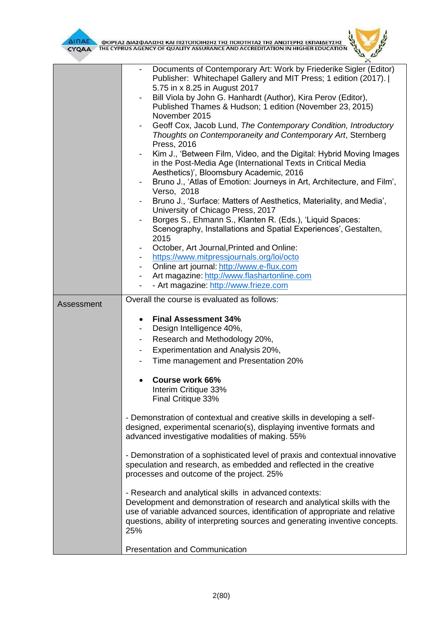



|            | $\curvearrowleft$                                                                                                                                             |  |  |
|------------|---------------------------------------------------------------------------------------------------------------------------------------------------------------|--|--|
|            | Documents of Contemporary Art: Work by Friederike Sigler (Editor)<br>Publisher: Whitechapel Gallery and MIT Press; 1 edition (2017).                          |  |  |
|            | 5.75 in x 8.25 in August 2017                                                                                                                                 |  |  |
|            | Bill Viola by John G. Hanhardt (Author), Kira Perov (Editor),<br>-                                                                                            |  |  |
|            | Published Thames & Hudson; 1 edition (November 23, 2015)<br>November 2015                                                                                     |  |  |
|            | Geoff Cox, Jacob Lund, The Contemporary Condition, Introductory                                                                                               |  |  |
|            | Thoughts on Contemporaneity and Contemporary Art, Sternberg<br>Press, 2016                                                                                    |  |  |
|            | Kim J., 'Between Film, Video, and the Digital: Hybrid Moving Images                                                                                           |  |  |
|            | in the Post-Media Age (International Texts in Critical Media                                                                                                  |  |  |
|            | Aesthetics)', Bloomsbury Academic, 2016                                                                                                                       |  |  |
|            | Bruno J., 'Atlas of Emotion: Journeys in Art, Architecture, and Film',                                                                                        |  |  |
|            | Verso, 2018                                                                                                                                                   |  |  |
|            | Bruno J., 'Surface: Matters of Aesthetics, Materiality, and Media',                                                                                           |  |  |
|            | University of Chicago Press, 2017<br>Borges S., Ehmann S., Klanten R. (Eds.), 'Liquid Spaces:                                                                 |  |  |
|            | Scenography, Installations and Spatial Experiences', Gestalten,                                                                                               |  |  |
|            | 2015                                                                                                                                                          |  |  |
|            | October, Art Journal, Printed and Online:                                                                                                                     |  |  |
|            | https://www.mitpressjournals.org/loi/octo                                                                                                                     |  |  |
|            | Online art journal: http://www.e-flux.com<br>-                                                                                                                |  |  |
|            | Art magazine: http://www.flashartonline.com<br>$\blacksquare$                                                                                                 |  |  |
|            | - Art magazine: http://www.frieze.com<br>$\overline{\phantom{0}}$                                                                                             |  |  |
| Assessment | Overall the course is evaluated as follows:                                                                                                                   |  |  |
|            |                                                                                                                                                               |  |  |
|            | <b>Final Assessment 34%</b><br>$\bullet$                                                                                                                      |  |  |
|            | Design Intelligence 40%,                                                                                                                                      |  |  |
|            | Research and Methodology 20%,<br>-                                                                                                                            |  |  |
|            | Experimentation and Analysis 20%,<br>-                                                                                                                        |  |  |
|            | Time management and Presentation 20%<br>-                                                                                                                     |  |  |
|            | <b>Course work 66%</b>                                                                                                                                        |  |  |
|            | Interim Critique 33%                                                                                                                                          |  |  |
|            | Final Critique 33%                                                                                                                                            |  |  |
|            |                                                                                                                                                               |  |  |
|            | - Demonstration of contextual and creative skills in developing a self-                                                                                       |  |  |
|            | designed, experimental scenario(s), displaying inventive formats and                                                                                          |  |  |
|            | advanced investigative modalities of making. 55%                                                                                                              |  |  |
|            | - Demonstration of a sophisticated level of praxis and contextual innovative                                                                                  |  |  |
|            | speculation and research, as embedded and reflected in the creative<br>processes and outcome of the project. 25%                                              |  |  |
|            |                                                                                                                                                               |  |  |
|            |                                                                                                                                                               |  |  |
|            | - Research and analytical skills in advanced contexts:                                                                                                        |  |  |
|            | Development and demonstration of research and analytical skills with the                                                                                      |  |  |
|            | use of variable advanced sources, identification of appropriate and relative<br>questions, ability of interpreting sources and generating inventive concepts. |  |  |
|            | 25%                                                                                                                                                           |  |  |
|            |                                                                                                                                                               |  |  |
|            | <b>Presentation and Communication</b>                                                                                                                         |  |  |